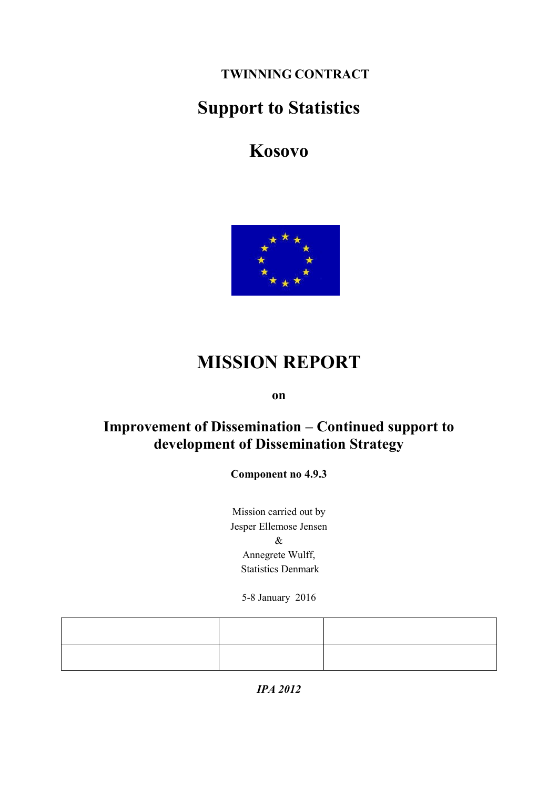**TWINNING CONTRACT**

# **Support to Statistics**

**Kosovo**



# **MISSION REPORT**

**on**

## **Improvement of Dissemination – Continued support to development of Dissemination Strategy**

**Component no 4.9.3**

Mission carried out by Jesper Ellemose Jensen & Annegrete Wulff, Statistics Denmark

5-8 January 2016

*IPA 2012*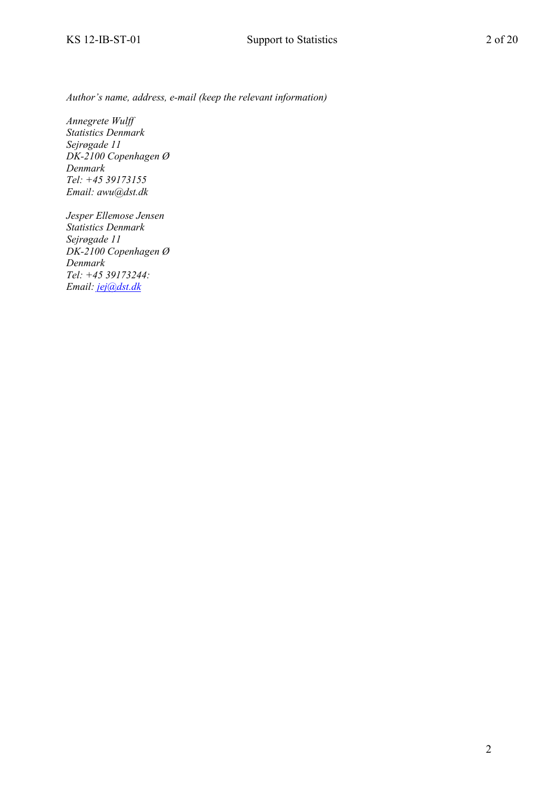*Author's name, address, e-mail (keep the relevant information)*

*Annegrete Wulff Statistics Denmark Sejrøgade 11 DK-2100 Copenhagen Ø Denmark Tel: +45 39173155 Email: awu@dst.dk*

*Jesper Ellemose Jensen Statistics Denmark Sejrøgade 11 DK-2100 Copenhagen Ø Denmark Tel: +45 39173244: Email: [jej@dst.dk](mailto:jej@dst.dk)*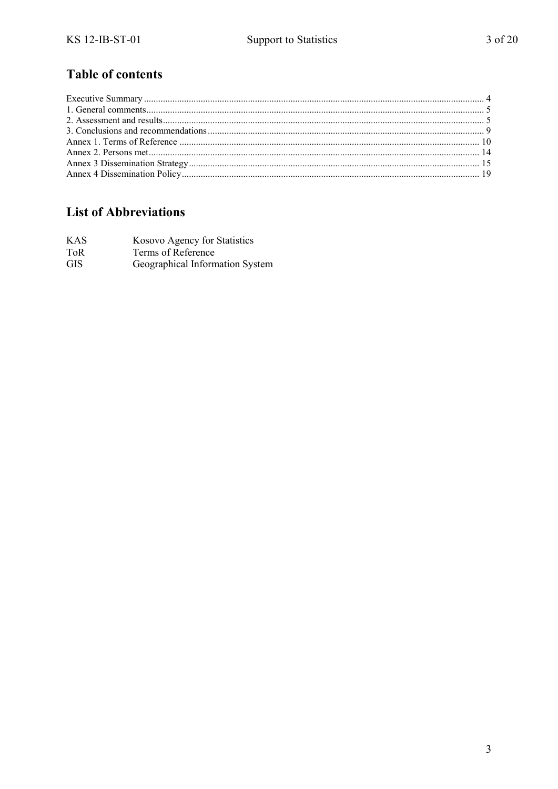## **Table of contents**

## **List of Abbreviations**

| KAS        | Kosovo Agency for Statistics    |
|------------|---------------------------------|
| ToR        | Terms of Reference              |
| <b>GIS</b> | Geographical Information System |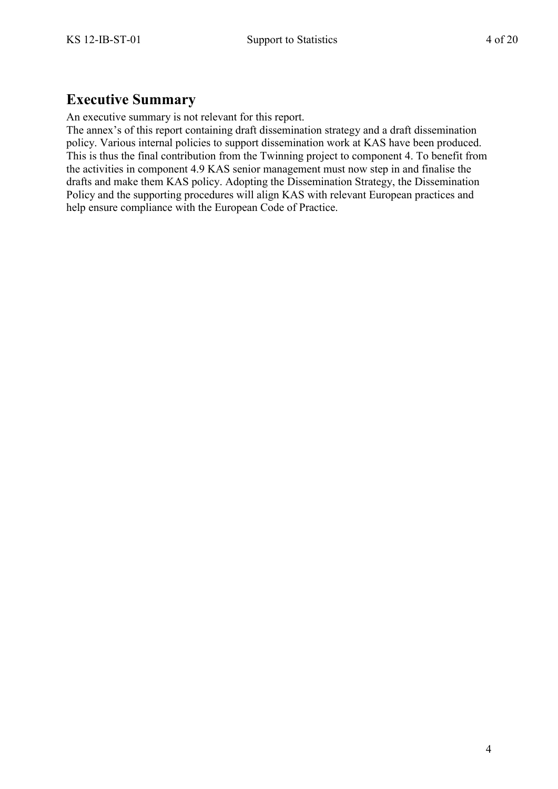## <span id="page-3-0"></span>**Executive Summary**

An executive summary is not relevant for this report.

The annex's of this report containing draft dissemination strategy and a draft dissemination policy. Various internal policies to support dissemination work at KAS have been produced. This is thus the final contribution from the Twinning project to component 4. To benefit from the activities in component 4.9 KAS senior management must now step in and finalise the drafts and make them KAS policy. Adopting the Dissemination Strategy, the Dissemination Policy and the supporting procedures will align KAS with relevant European practices and help ensure compliance with the European Code of Practice.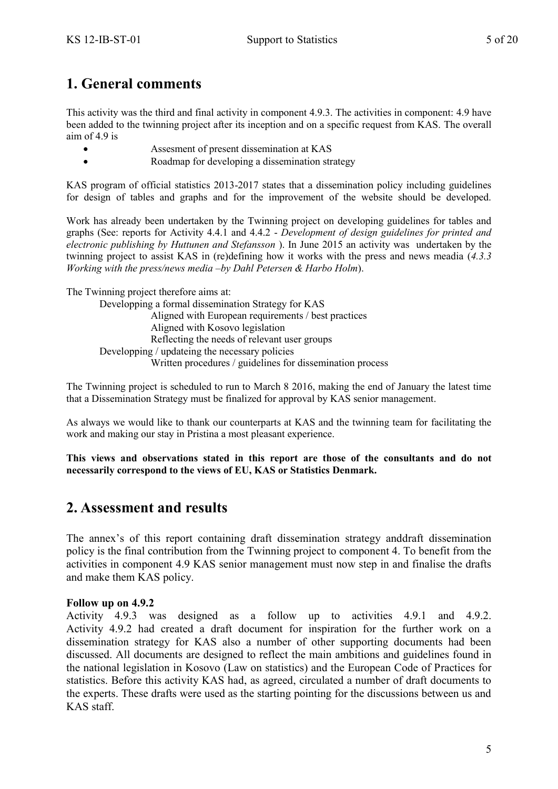## <span id="page-4-0"></span>**1. General comments**

This activity was the third and final activity in component 4.9.3. The activities in component: 4.9 have been added to the twinning project after its inception and on a specific request from KAS. The overall aim of 4.9 is

- Assesment of present dissemination at KAS
- Roadmap for developing a dissemination strategy

KAS program of official statistics 2013-2017 states that a dissemination policy including guidelines for design of tables and graphs and for the improvement of the website should be developed.

Work has already been undertaken by the Twinning project on developing guidelines for tables and graphs (See: reports for Activity 4.4.1 and 4.4.2 - *Development of design guidelines for printed and electronic publishing by Huttunen and Stefansson* ). In June 2015 an activity was undertaken by the twinning project to assist KAS in (re)defining how it works with the press and news meadia (*4.3.3 Working with the press/news media –by Dahl Petersen & Harbo Holm*).

The Twinning project therefore aims at:

Developping a formal dissemination Strategy for KAS Aligned with European requirements / best practices Aligned with Kosovo legislation Reflecting the needs of relevant user groups Developping / updateing the necessary policies Written procedures / guidelines for dissemination process

The Twinning project is scheduled to run to March 8 2016, making the end of January the latest time that a Dissemination Strategy must be finalized for approval by KAS senior management.

As always we would like to thank our counterparts at KAS and the twinning team for facilitating the work and making our stay in Pristina a most pleasant experience.

**This views and observations stated in this report are those of the consultants and do not necessarily correspond to the views of EU, KAS or Statistics Denmark.**

## <span id="page-4-1"></span>**2. Assessment and results**

The annex's of this report containing draft dissemination strategy anddraft dissemination policy is the final contribution from the Twinning project to component 4. To benefit from the activities in component 4.9 KAS senior management must now step in and finalise the drafts and make them KAS policy.

### **Follow up on 4.9.2**

Activity 4.9.3 was designed as a follow up to activities 4.9.1 and 4.9.2. Activity 4.9.2 had created a draft document for inspiration for the further work on a dissemination strategy for KAS also a number of other supporting documents had been discussed. All documents are designed to reflect the main ambitions and guidelines found in the national legislation in Kosovo (Law on statistics) and the European Code of Practices for statistics. Before this activity KAS had, as agreed, circulated a number of draft documents to the experts. These drafts were used as the starting pointing for the discussions between us and KAS staff.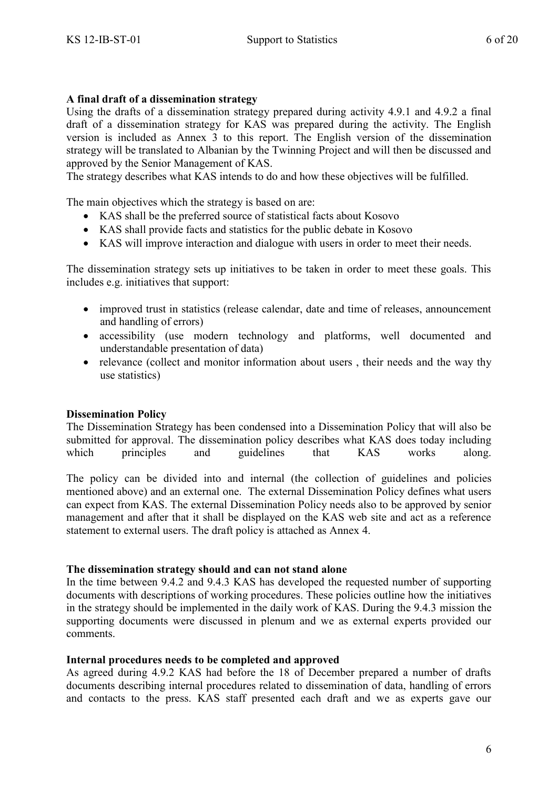### **A final draft of a dissemination strategy**

Using the drafts of a dissemination strategy prepared during activity 4.9.1 and 4.9.2 a final draft of a dissemination strategy for KAS was prepared during the activity. The English version is included as Annex 3 to this report. The English version of the dissemination strategy will be translated to Albanian by the Twinning Project and will then be discussed and approved by the Senior Management of KAS.

The strategy describes what KAS intends to do and how these objectives will be fulfilled.

The main objectives which the strategy is based on are:

- KAS shall be the preferred source of statistical facts about Kosovo
- KAS shall provide facts and statistics for the public debate in Kosovo
- KAS will improve interaction and dialogue with users in order to meet their needs.

The dissemination strategy sets up initiatives to be taken in order to meet these goals. This includes e.g. initiatives that support:

- improved trust in statistics (release calendar, date and time of releases, announcement and handling of errors)
- accessibility (use modern technology and platforms, well documented and understandable presentation of data)
- relevance (collect and monitor information about users, their needs and the way thy use statistics)

### **Dissemination Policy**

The Dissemination Strategy has been condensed into a Dissemination Policy that will also be submitted for approval. The dissemination policy describes what KAS does today including which principles and guidelines that KAS works along.

The policy can be divided into and internal (the collection of guidelines and policies mentioned above) and an external one. The external Dissemination Policy defines what users can expect from KAS. The external Dissemination Policy needs also to be approved by senior management and after that it shall be displayed on the KAS web site and act as a reference statement to external users. The draft policy is attached as Annex 4.

### **The dissemination strategy should and can not stand alone**

In the time between 9.4.2 and 9.4.3 KAS has developed the requested number of supporting documents with descriptions of working procedures. These policies outline how the initiatives in the strategy should be implemented in the daily work of KAS. During the 9.4.3 mission the supporting documents were discussed in plenum and we as external experts provided our comments.

### **Internal procedures needs to be completed and approved**

As agreed during 4.9.2 KAS had before the 18 of December prepared a number of drafts documents describing internal procedures related to dissemination of data, handling of errors and contacts to the press. KAS staff presented each draft and we as experts gave our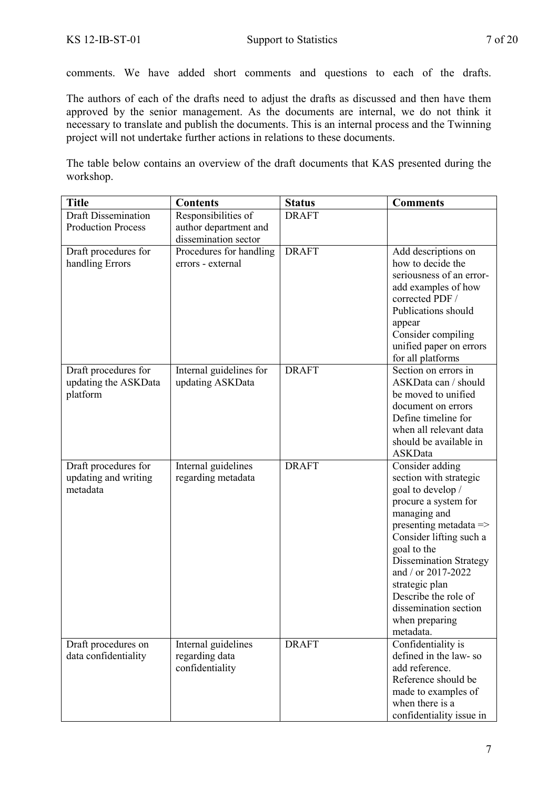comments. We have added short comments and questions to each of the drafts.

The authors of each of the drafts need to adjust the drafts as discussed and then have them approved by the senior management. As the documents are internal, we do not think it necessary to translate and publish the documents. This is an internal process and the Twinning project will not undertake further actions in relations to these documents.

The table below contains an overview of the draft documents that KAS presented during the workshop.

| <b>Draft Dissemination</b><br>Responsibilities of<br><b>DRAFT</b><br><b>Production Process</b><br>author department and<br>dissemination sector<br><b>DRAFT</b><br>Draft procedures for<br>Procedures for handling<br>Add descriptions on<br>how to decide the<br>handling Errors<br>errors - external<br>seriousness of an error-<br>add examples of how<br>corrected PDF /<br>Publications should<br>appear<br>Consider compiling<br>unified paper on errors<br>for all platforms<br><b>DRAFT</b><br>Draft procedures for<br>Section on errors in<br>Internal guidelines for<br>ASKData can / should<br>updating the ASKData<br>updating ASKData<br>platform<br>be moved to unified<br>document on errors<br>Define timeline for<br>when all relevant data<br>should be available in<br>ASKData | <b>Title</b>         | <b>Contents</b>     | <b>Status</b> | <b>Comments</b> |
|---------------------------------------------------------------------------------------------------------------------------------------------------------------------------------------------------------------------------------------------------------------------------------------------------------------------------------------------------------------------------------------------------------------------------------------------------------------------------------------------------------------------------------------------------------------------------------------------------------------------------------------------------------------------------------------------------------------------------------------------------------------------------------------------------|----------------------|---------------------|---------------|-----------------|
|                                                                                                                                                                                                                                                                                                                                                                                                                                                                                                                                                                                                                                                                                                                                                                                                   |                      |                     |               |                 |
|                                                                                                                                                                                                                                                                                                                                                                                                                                                                                                                                                                                                                                                                                                                                                                                                   |                      |                     |               |                 |
|                                                                                                                                                                                                                                                                                                                                                                                                                                                                                                                                                                                                                                                                                                                                                                                                   |                      |                     |               |                 |
|                                                                                                                                                                                                                                                                                                                                                                                                                                                                                                                                                                                                                                                                                                                                                                                                   |                      |                     |               |                 |
|                                                                                                                                                                                                                                                                                                                                                                                                                                                                                                                                                                                                                                                                                                                                                                                                   |                      |                     |               |                 |
|                                                                                                                                                                                                                                                                                                                                                                                                                                                                                                                                                                                                                                                                                                                                                                                                   |                      |                     |               |                 |
|                                                                                                                                                                                                                                                                                                                                                                                                                                                                                                                                                                                                                                                                                                                                                                                                   |                      |                     |               |                 |
|                                                                                                                                                                                                                                                                                                                                                                                                                                                                                                                                                                                                                                                                                                                                                                                                   |                      |                     |               |                 |
|                                                                                                                                                                                                                                                                                                                                                                                                                                                                                                                                                                                                                                                                                                                                                                                                   |                      |                     |               |                 |
|                                                                                                                                                                                                                                                                                                                                                                                                                                                                                                                                                                                                                                                                                                                                                                                                   |                      |                     |               |                 |
|                                                                                                                                                                                                                                                                                                                                                                                                                                                                                                                                                                                                                                                                                                                                                                                                   |                      |                     |               |                 |
|                                                                                                                                                                                                                                                                                                                                                                                                                                                                                                                                                                                                                                                                                                                                                                                                   |                      |                     |               |                 |
|                                                                                                                                                                                                                                                                                                                                                                                                                                                                                                                                                                                                                                                                                                                                                                                                   |                      |                     |               |                 |
|                                                                                                                                                                                                                                                                                                                                                                                                                                                                                                                                                                                                                                                                                                                                                                                                   |                      |                     |               |                 |
|                                                                                                                                                                                                                                                                                                                                                                                                                                                                                                                                                                                                                                                                                                                                                                                                   |                      |                     |               |                 |
|                                                                                                                                                                                                                                                                                                                                                                                                                                                                                                                                                                                                                                                                                                                                                                                                   |                      |                     |               |                 |
|                                                                                                                                                                                                                                                                                                                                                                                                                                                                                                                                                                                                                                                                                                                                                                                                   |                      |                     |               |                 |
|                                                                                                                                                                                                                                                                                                                                                                                                                                                                                                                                                                                                                                                                                                                                                                                                   |                      |                     |               |                 |
|                                                                                                                                                                                                                                                                                                                                                                                                                                                                                                                                                                                                                                                                                                                                                                                                   |                      |                     |               |                 |
|                                                                                                                                                                                                                                                                                                                                                                                                                                                                                                                                                                                                                                                                                                                                                                                                   | Draft procedures for | Internal guidelines | <b>DRAFT</b>  | Consider adding |
| updating and writing<br>regarding metadata<br>section with strategic                                                                                                                                                                                                                                                                                                                                                                                                                                                                                                                                                                                                                                                                                                                              |                      |                     |               |                 |
| metadata<br>goal to develop /                                                                                                                                                                                                                                                                                                                                                                                                                                                                                                                                                                                                                                                                                                                                                                     |                      |                     |               |                 |
| procure a system for                                                                                                                                                                                                                                                                                                                                                                                                                                                                                                                                                                                                                                                                                                                                                                              |                      |                     |               |                 |
| managing and                                                                                                                                                                                                                                                                                                                                                                                                                                                                                                                                                                                                                                                                                                                                                                                      |                      |                     |               |                 |
| presenting metadata $\Rightarrow$                                                                                                                                                                                                                                                                                                                                                                                                                                                                                                                                                                                                                                                                                                                                                                 |                      |                     |               |                 |
| Consider lifting such a                                                                                                                                                                                                                                                                                                                                                                                                                                                                                                                                                                                                                                                                                                                                                                           |                      |                     |               |                 |
| goal to the                                                                                                                                                                                                                                                                                                                                                                                                                                                                                                                                                                                                                                                                                                                                                                                       |                      |                     |               |                 |
| Dissemination Strategy<br>and / or 2017-2022                                                                                                                                                                                                                                                                                                                                                                                                                                                                                                                                                                                                                                                                                                                                                      |                      |                     |               |                 |
| strategic plan                                                                                                                                                                                                                                                                                                                                                                                                                                                                                                                                                                                                                                                                                                                                                                                    |                      |                     |               |                 |
| Describe the role of                                                                                                                                                                                                                                                                                                                                                                                                                                                                                                                                                                                                                                                                                                                                                                              |                      |                     |               |                 |
| dissemination section                                                                                                                                                                                                                                                                                                                                                                                                                                                                                                                                                                                                                                                                                                                                                                             |                      |                     |               |                 |
| when preparing                                                                                                                                                                                                                                                                                                                                                                                                                                                                                                                                                                                                                                                                                                                                                                                    |                      |                     |               |                 |
| metadata.                                                                                                                                                                                                                                                                                                                                                                                                                                                                                                                                                                                                                                                                                                                                                                                         |                      |                     |               |                 |
| <b>DRAFT</b><br>Confidentiality is<br>Draft procedures on<br>Internal guidelines                                                                                                                                                                                                                                                                                                                                                                                                                                                                                                                                                                                                                                                                                                                  |                      |                     |               |                 |
| defined in the law-so<br>data confidentiality<br>regarding data                                                                                                                                                                                                                                                                                                                                                                                                                                                                                                                                                                                                                                                                                                                                   |                      |                     |               |                 |
| add reference.<br>confidentiality                                                                                                                                                                                                                                                                                                                                                                                                                                                                                                                                                                                                                                                                                                                                                                 |                      |                     |               |                 |
| Reference should be                                                                                                                                                                                                                                                                                                                                                                                                                                                                                                                                                                                                                                                                                                                                                                               |                      |                     |               |                 |
| made to examples of<br>when there is a                                                                                                                                                                                                                                                                                                                                                                                                                                                                                                                                                                                                                                                                                                                                                            |                      |                     |               |                 |
| confidentiality issue in                                                                                                                                                                                                                                                                                                                                                                                                                                                                                                                                                                                                                                                                                                                                                                          |                      |                     |               |                 |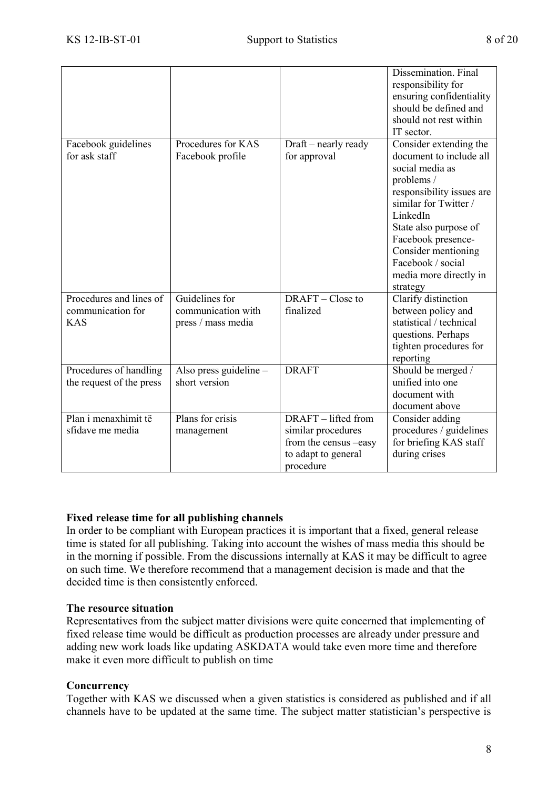|                                                            |                                                            |                                                                                                        | Dissemination. Final<br>responsibility for<br>ensuring confidentiality<br>should be defined and<br>should not rest within<br>IT sector.                                                                                                                                               |
|------------------------------------------------------------|------------------------------------------------------------|--------------------------------------------------------------------------------------------------------|---------------------------------------------------------------------------------------------------------------------------------------------------------------------------------------------------------------------------------------------------------------------------------------|
| Facebook guidelines<br>for ask staff                       | Procedures for KAS<br>Facebook profile                     | Draft – nearly ready<br>for approval                                                                   | Consider extending the<br>document to include all<br>social media as<br>problems /<br>responsibility issues are<br>similar for Twitter /<br>LinkedIn<br>State also purpose of<br>Facebook presence-<br>Consider mentioning<br>Facebook / social<br>media more directly in<br>strategy |
| Procedures and lines of<br>communication for<br><b>KAS</b> | Guidelines for<br>communication with<br>press / mass media | DRAFT – Close to<br>finalized                                                                          | Clarify distinction<br>between policy and<br>statistical / technical<br>questions. Perhaps<br>tighten procedures for<br>reporting                                                                                                                                                     |
| Procedures of handling<br>the request of the press         | Also press guideline -<br>short version                    | <b>DRAFT</b>                                                                                           | Should be merged /<br>unified into one<br>document with<br>document above                                                                                                                                                                                                             |
| Plan i menaxhimit të<br>sfidave me media                   | Plans for crisis<br>management                             | DRAFT – lifted from<br>similar procedures<br>from the census -easy<br>to adapt to general<br>procedure | Consider adding<br>procedures / guidelines<br>for briefing KAS staff<br>during crises                                                                                                                                                                                                 |

### **Fixed release time for all publishing channels**

In order to be compliant with European practices it is important that a fixed, general release time is stated for all publishing. Taking into account the wishes of mass media this should be in the morning if possible. From the discussions internally at KAS it may be difficult to agree on such time. We therefore recommend that a management decision is made and that the decided time is then consistently enforced.

### **The resource situation**

Representatives from the subject matter divisions were quite concerned that implementing of fixed release time would be difficult as production processes are already under pressure and adding new work loads like updating ASKDATA would take even more time and therefore make it even more difficult to publish on time

### **Concurrency**

Together with KAS we discussed when a given statistics is considered as published and if all channels have to be updated at the same time. The subject matter statistician's perspective is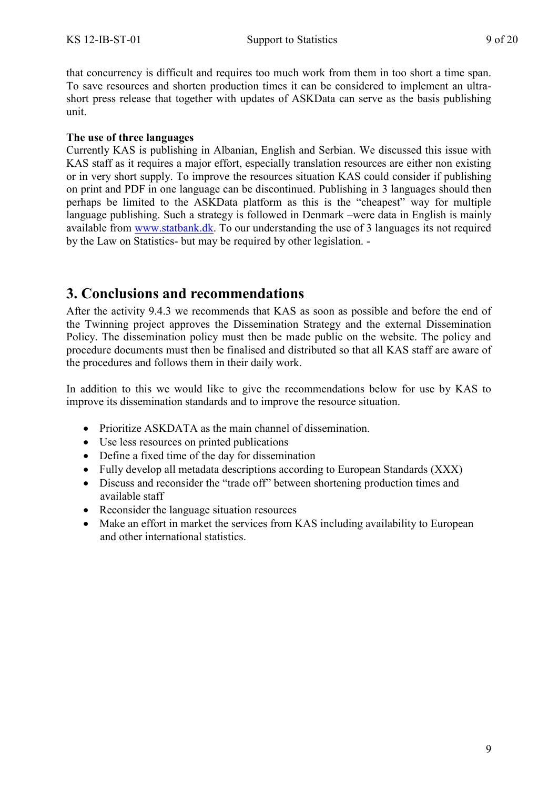that concurrency is difficult and requires too much work from them in too short a time span. To save resources and shorten production times it can be considered to implement an ultrashort press release that together with updates of ASKData can serve as the basis publishing unit.

### **The use of three languages**

Currently KAS is publishing in Albanian, English and Serbian. We discussed this issue with KAS staff as it requires a major effort, especially translation resources are either non existing or in very short supply. To improve the resources situation KAS could consider if publishing on print and PDF in one language can be discontinued. Publishing in 3 languages should then perhaps be limited to the ASKData platform as this is the "cheapest" way for multiple language publishing. Such a strategy is followed in Denmark –were data in English is mainly available from [www.statbank.dk.](http://www.statbank.dk/) To our understanding the use of 3 languages its not required by the Law on Statistics- but may be required by other legislation. -

## <span id="page-8-0"></span>**3. Conclusions and recommendations**

After the activity 9.4.3 we recommends that KAS as soon as possible and before the end of the Twinning project approves the Dissemination Strategy and the external Dissemination Policy. The dissemination policy must then be made public on the website. The policy and procedure documents must then be finalised and distributed so that all KAS staff are aware of the procedures and follows them in their daily work.

In addition to this we would like to give the recommendations below for use by KAS to improve its dissemination standards and to improve the resource situation.

- Prioritize ASKDATA as the main channel of dissemination.
- Use less resources on printed publications
- Define a fixed time of the day for dissemination
- Fully develop all metadata descriptions according to European Standards (XXX)
- Discuss and reconsider the "trade off" between shortening production times and available staff
- Reconsider the language situation resources
- Make an effort in market the services from KAS including availability to European and other international statistics.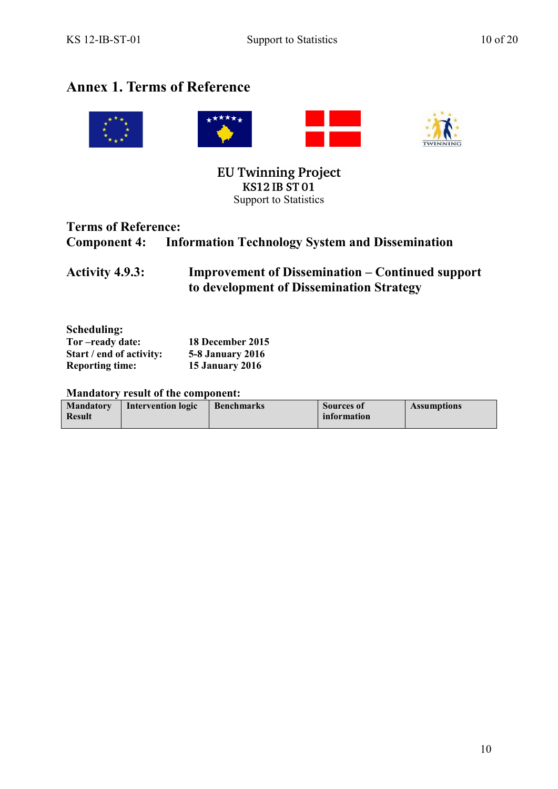## <span id="page-9-0"></span>**Annex 1. Terms of Reference**



**EU Twinning Project KS12 IB ST01** Support to Statistics

## **Terms of Reference: Component 4: Information Technology System and Dissemination**

**Activity 4.9.3: Improvement of Dissemination – Continued support to development of Dissemination Strategy**

| Tor-ready date:          | 18 December 2015        |
|--------------------------|-------------------------|
| Start / end of activity: | <b>5-8 January 2016</b> |
| <b>Reporting time:</b>   | <b>15 January 2016</b>  |

### **Mandatory result of the component:**

| <b>Mandatory</b><br><b>Result</b> | <b>Intervention logic</b> | <b>Benchmarks</b> | Sources of<br>information | <b>Assumptions</b> |
|-----------------------------------|---------------------------|-------------------|---------------------------|--------------------|
|                                   |                           |                   |                           |                    |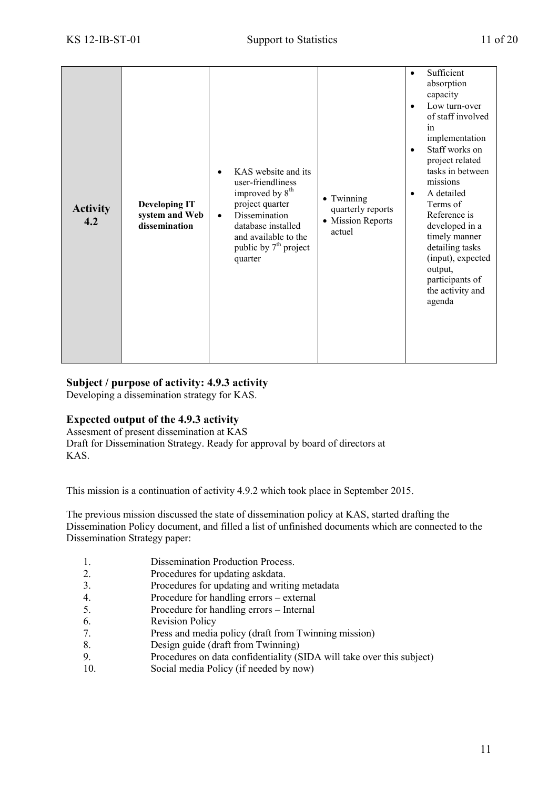| <b>Activity</b><br>4.2 | <b>Developing IT</b><br>system and Web<br>dissemination | KAS website and its<br>user-friendliness<br>improved by 8 <sup>th</sup><br>project quarter<br>Dissemination<br>$\bullet$<br>database installed<br>and available to the<br>public by 7 <sup>th</sup> project<br>quarter | • Twinning<br>quarterly reports<br>• Mission Reports<br>actuel | Sufficient<br>$\bullet$<br>absorption<br>capacity<br>Low turn-over<br>of staff involved<br>in<br>implementation<br>Staff works on<br>$\bullet$<br>project related<br>tasks in between<br>missions<br>A detailed<br>$\bullet$<br>Terms of<br>Reference is<br>developed in a<br>timely manner<br>detailing tasks<br>(input), expected<br>output,<br>participants of<br>the activity and<br>agenda |
|------------------------|---------------------------------------------------------|------------------------------------------------------------------------------------------------------------------------------------------------------------------------------------------------------------------------|----------------------------------------------------------------|-------------------------------------------------------------------------------------------------------------------------------------------------------------------------------------------------------------------------------------------------------------------------------------------------------------------------------------------------------------------------------------------------|
|------------------------|---------------------------------------------------------|------------------------------------------------------------------------------------------------------------------------------------------------------------------------------------------------------------------------|----------------------------------------------------------------|-------------------------------------------------------------------------------------------------------------------------------------------------------------------------------------------------------------------------------------------------------------------------------------------------------------------------------------------------------------------------------------------------|

### **Subject / purpose of activity: 4.9.3 activity**

Developing a dissemination strategy for KAS.

### **Expected output of the 4.9.3 activity**

Assesment of present dissemination at KAS Draft for Dissemination Strategy. Ready for approval by board of directors at KAS.

This mission is a continuation of activity 4.9.2 which took place in September 2015.

The previous mission discussed the state of dissemination policy at KAS, started drafting the Dissemination Policy document, and filled a list of unfinished documents which are connected to the Dissemination Strategy paper:

- 1. Dissemination Production Process.
- 2. Procedures for updating askdata.
- 3. Procedures for updating and writing metadata
- 4. Procedure for handling errors external
- 5. Procedure for handling errors Internal
- 6. Revision Policy
- 7. Press and media policy (draft from Twinning mission)
- 8. Design guide (draft from Twinning)
- 9. Procedures on data confidentiality (SIDA will take over this subject)
- 10. Social media Policy (if needed by now)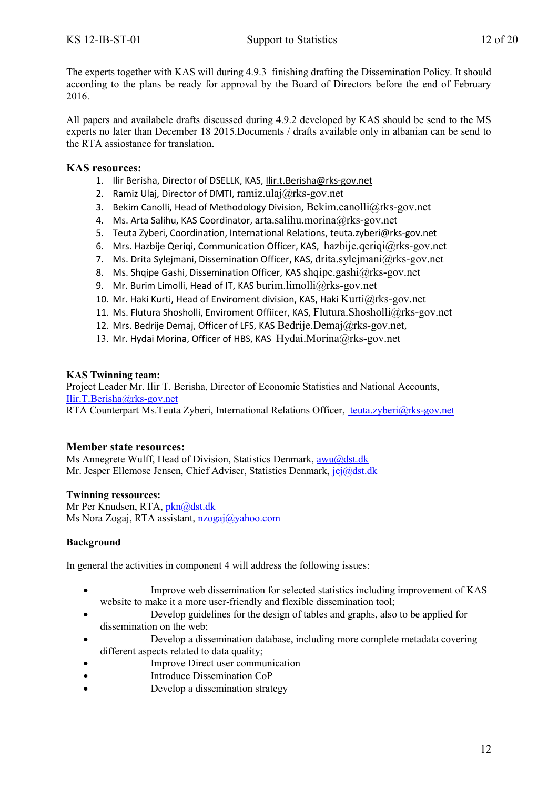The experts together with KAS will during 4.9.3 finishing drafting the Dissemination Policy. It should according to the plans be ready for approval by the Board of Directors before the end of February 2016.

All papers and availabele drafts discussed during 4.9.2 developed by KAS should be send to the MS experts no later than December 18 2015.Documents / drafts available only in albanian can be send to the RTA assiostance for translation.

### **KAS resources:**

- 1. Ilir Berisha, Director of DSELLK, KAS[, Ilir.t.Berisha@rks-gov.net](mailto:Ilir.t.Berisha@rks-gov.net)
- 2. Ramiz Ulaj, Director of DMTI, ramiz.ulaj $@rks$ -gov.net
- 3. Bekim Canolli, Head of Methodology Division, [Bekim.canolli@rks-gov.net](mailto:Bekim.canolli@rks-gov.net)
- 4. Ms. Arta Salihu, KAS Coordinator, [arta.salihu.morina@rks-gov.net](mailto:arta.salihu.morina@rks-gov.net)
- 5. Teuta Zyberi, Coordination, International Relations[, teuta.zyberi@rks-gov.net](mailto:teuta.zyberi@rks-gov.net)
- 6. Mrs. Hazbije Qeriqi, Communication Officer, KAS, [hazbije.qeriqi@rks-gov.net](mailto:hazbije.qeriqi@rks-gov.net)
- 7. Ms. Drita Sylejmani, Dissemination Officer, KAS, [drita.sylejmani@rks-gov.net](mailto:drita.sylejmani@rks-gov.net)
- 8. Ms. Shqipe Gashi, Dissemination Officer, KAS [shqipe.gashi@rks-gov.net](mailto:shqipe.gashi@rks-gov.net)
- 9. Mr. Burim Limolli, Head of IT, KAS [burim.limolli@rks-gov.net](mailto:burim.limolli@rks-gov.net)
- 10. Mr. Haki Kurti, Head of Enviroment division, KAS, Haki  $Kurti@rks-gov.net$
- 11. Ms. Flutura Shosholli, Enviroment Offiicer, KAS, [Flutura.Shosholli@rks-gov.net](mailto:Flutura.Shosholli@rks-gov.net)
- 12. Mrs. Bedrije Demaj, Officer of LFS, KAS [Bedrije.Demaj@rks-gov.net](mailto:Bedrije.Demaj@rks-gov.net).
- 13. Mr. Hydai Morina, Officer of HBS, KAS [Hydai.Morina@rks-gov.net](mailto:Hydai.Morina@rks-gov.net)

### **KAS Twinning team:**

Project Leader Mr. Ilir T. Berisha, Director of Economic Statistics and National Accounts, [Ilir.T.Berisha@rks-gov.net](mailto:Ilir.T.Berisha@rks-gov.net)

RTA Counterpart Ms.Teuta Zyberi, International Relations Officer, [teuta.zyberi@rks-gov.net](mailto:%20teuta.zyberi@rks-gov.net)

### **Member state resources:**

Ms Annegrete Wulff, Head of Division, Statistics Denmark, [awu@dst.dk](mailto:awu@dst.dk) Mr. Jesper Ellemose Jensen, Chief Adviser, Statistics Denmark, [jej@dst.dk](mailto:jej@dst.dk)

### **Twinning ressources:**

Mr Per Knudsen, RTA, [pkn@dst.dk](mailto:pkn@dst.dk) Ms Nora Zogaj, RTA assistant, [nzogaj@yahoo.com](mailto:nzogaj@yahoo.com)

### **Background**

In general the activities in component 4 will address the following issues:

- Improve web dissemination for selected statistics including improvement of KAS website to make it a more user-friendly and flexible dissemination tool;
- Develop guidelines for the design of tables and graphs, also to be applied for dissemination on the web;
- Develop a dissemination database, including more complete metadata covering different aspects related to data quality;
- Improve Direct user communication
- Introduce Dissemination CoP
- Develop a dissemination strategy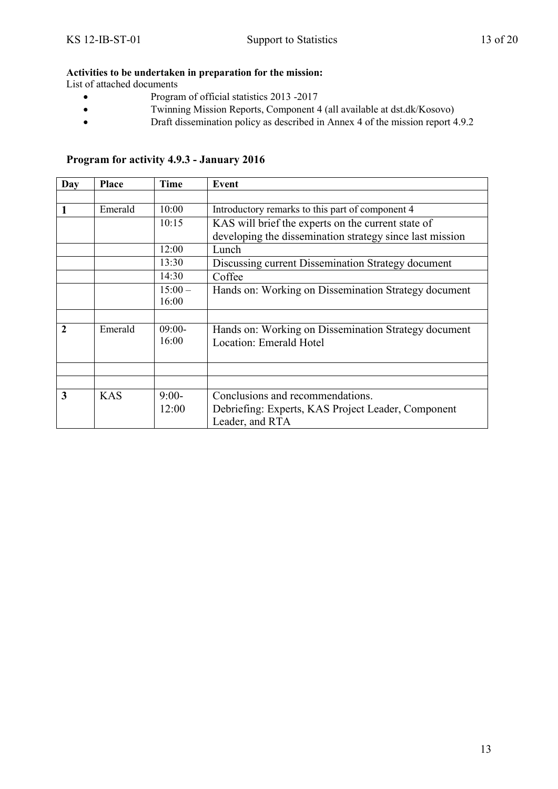### **Activities to be undertaken in preparation for the mission:**

List of attached documents

- Program of official statistics 2013 -2017
- Twinning Mission Reports, Component 4 (all available at dst.dk/Kosovo)
- Draft dissemination policy as described in Annex 4 of the mission report 4.9.2

| <b>Day</b>  | <b>Place</b> | <b>Time</b> | Event                                                    |
|-------------|--------------|-------------|----------------------------------------------------------|
|             |              |             |                                                          |
| 1           | Emerald      | 10:00       | Introductory remarks to this part of component 4         |
|             |              | 10:15       | KAS will brief the experts on the current state of       |
|             |              |             | developing the dissemination strategy since last mission |
|             |              | 12:00       | Lunch                                                    |
|             |              | 13:30       | Discussing current Dissemination Strategy document       |
|             |              | 14:30       | Coffee                                                   |
|             |              | $15:00 -$   | Hands on: Working on Dissemination Strategy document     |
|             |              | 16:00       |                                                          |
|             |              |             |                                                          |
| $\mathbf 2$ | Emerald      | $09:00-$    | Hands on: Working on Dissemination Strategy document     |
|             |              | 16:00       | <b>Location: Emerald Hotel</b>                           |
|             |              |             |                                                          |
|             |              |             |                                                          |
|             |              |             |                                                          |
| 3           | <b>KAS</b>   | $9:00-$     | Conclusions and recommendations.                         |
|             |              | 12:00       | Debriefing: Experts, KAS Project Leader, Component       |
|             |              |             | Leader, and RTA                                          |

### **Program for activity 4.9.3 - January 2016**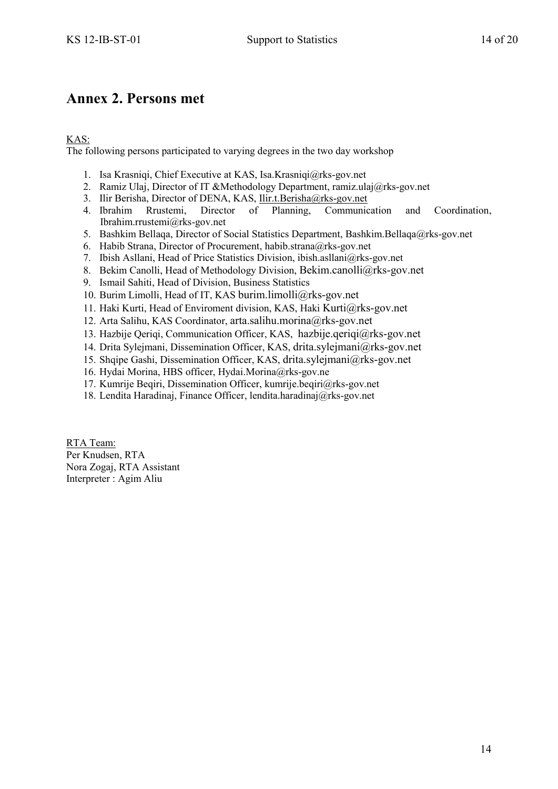## <span id="page-13-0"></span>**Annex 2. Persons met**

### KAS:

The following persons participated to varying degrees in the two day workshop

- 1. Isa Krasniqi, Chief Executive at KAS, Isa.Krasniqi@rks-gov.net
- 2. Ramiz Ulaj, Director of IT &Methodology Department, ramiz.ulaj@rks-gov.net
- 3. Ilir Berisha, Director of DENA, KAS, <u>Ilir.t.Berisha@rks-gov.net</u><br>4. Ibrahim Rrustemi, Director of Planning, Communic
- 4. Ibrahim Rrustemi, Director of Planning, Communication and Coordination, Ibrahim.rrustemi@rks-gov.net
- 5. Bashkim Bellaqa, Director of Social Statistics Department, Bashkim.Bellaqa@rks-gov.net
- 6. Habib Strana, Director of Procurement, habib.strana@rks-gov.net
- 7. Ibish Asllani, Head of Price Statistics Division, ibish.asllani@rks-gov.net
- 8. Bekim Canolli, Head of Methodology Division, [Bekim.canolli@rks-gov.net](mailto:Bekim.canolli@rks-gov.net)
- 9. Ismail Sahiti, Head of Division, Business Statistics
- 10. Burim Limolli, Head of IT, KAS [burim.limolli@rks-gov.net](mailto:burim.limolli@rks-gov.net)
- 11. Haki Kurti, Head of Enviroment division, KAS, Haki [Kurti@rks-gov.net](mailto:Kurti@rks-gov.net)
- 12. Arta Salihu, KAS Coordinator, [arta.salihu.morina@rks-gov.net](mailto:arta.salihu.morina@rks-gov.net)
- 13. Hazbije Qeriqi, Communication Officer, KAS, [hazbije.qeriqi@rks-gov.net](mailto:hazbije.qeriqi@rks-gov.net)
- 14. Drita Sylejmani, Dissemination Officer, KAS, [drita.sylejmani@rks-gov.net](mailto:drita.sylejmani@rks-gov.net)
- 15. Shqipe Gashi, Dissemination Officer, KAS, [drita.sylejmani@rks-gov.net](mailto:drita.sylejmani@rks-gov.net)
- 16. Hydai Morina, HBS officer, Hydai.Morina@rks-gov.ne
- 17. Kumrije Beqiri, Dissemination Officer, kumrije.beqiri@rks-gov.net
- 18. Lendita Haradinaj, Finance Officer, lendita.haradinaj@rks-gov.net

RTA Team: Per Knudsen, RTA Nora Zogaj, RTA Assistant Interpreter : Agim Aliu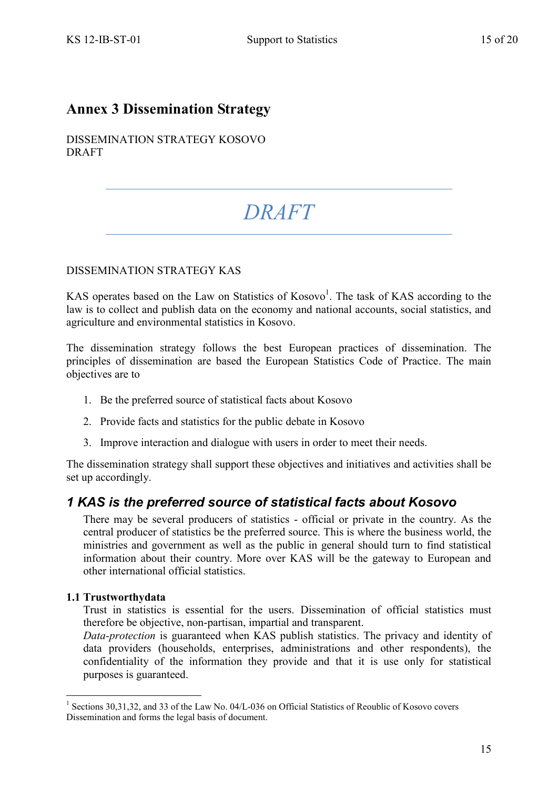## <span id="page-14-0"></span>**Annex 3 Dissemination Strategy**

DISSEMINATION STRATEGY KOSOVO DRAFT

# *DRAFT*

### DISSEMINATION STRATEGY KAS

KAS operates based on the Law on Statistics of  $Kosovo<sup>1</sup>$ . The task of KAS according to the law is to collect and publish data on the economy and national accounts, social statistics, and agriculture and environmental statistics in Kosovo.

The dissemination strategy follows the best European practices of dissemination. The principles of dissemination are based the European Statistics Code of Practice. The main objectives are to

- 1. Be the preferred source of statistical facts about Kosovo
- 2. Provide facts and statistics for the public debate in Kosovo
- 3. Improve interaction and dialogue with users in order to meet their needs.

The dissemination strategy shall support these objectives and initiatives and activities shall be set up accordingly.

### *1 KAS is the preferred source of statistical facts about Kosovo*

There may be several producers of statistics - official or private in the country. As the central producer of statistics be the preferred source. This is where the business world, the ministries and government as well as the public in general should turn to find statistical information about their country. More over KAS will be the gateway to European and other international official statistics.

### **1.1 Trustworthydata**

<u>.</u>

Trust in statistics is essential for the users. Dissemination of official statistics must therefore be objective, non-partisan, impartial and transparent.

*Data-protection* is guaranteed when KAS publish statistics. The privacy and identity of data providers (households, enterprises, administrations and other respondents), the confidentiality of the information they provide and that it is use only for statistical purposes is guaranteed.

<sup>&</sup>lt;sup>1</sup> Sections 30,31,32, and 33 of the Law No. 04/L-036 on Official Statistics of Reoublic of Kosovo covers Dissemination and forms the legal basis of document.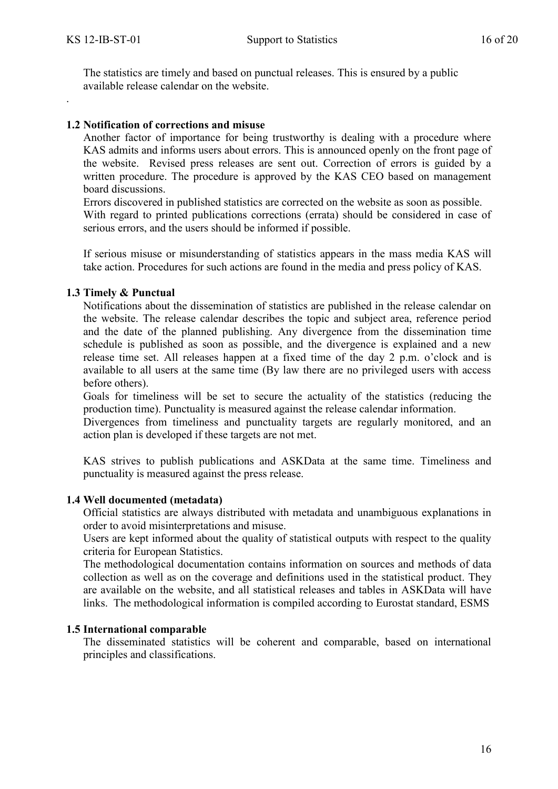.

The statistics are timely and based on punctual releases. This is ensured by a public available release calendar on the website.

### **1.2 Notification of corrections and misuse**

Another factor of importance for being trustworthy is dealing with a procedure where KAS admits and informs users about errors. This is announced openly on the front page of the website. Revised press releases are sent out. Correction of errors is guided by a written procedure. The procedure is approved by the KAS CEO based on management board discussions.

Errors discovered in published statistics are corrected on the website as soon as possible. With regard to printed publications corrections (errata) should be considered in case of serious errors, and the users should be informed if possible.

If serious misuse or misunderstanding of statistics appears in the mass media KAS will take action. Procedures for such actions are found in the media and press policy of KAS.

### **1.3 Timely & Punctual**

Notifications about the dissemination of statistics are published in the release calendar on the website. The release calendar describes the topic and subject area, reference period and the date of the planned publishing. Any divergence from the dissemination time schedule is published as soon as possible, and the divergence is explained and a new release time set. All releases happen at a fixed time of the day 2 p.m. o'clock and is available to all users at the same time (By law there are no privileged users with access before others).

Goals for timeliness will be set to secure the actuality of the statistics (reducing the production time). Punctuality is measured against the release calendar information.

Divergences from timeliness and punctuality targets are regularly monitored, and an action plan is developed if these targets are not met.

KAS strives to publish publications and ASKData at the same time. Timeliness and punctuality is measured against the press release.

### **1.4 Well documented (metadata)**

Official statistics are always distributed with metadata and unambiguous explanations in order to avoid misinterpretations and misuse.

Users are kept informed about the quality of statistical outputs with respect to the quality criteria for European Statistics.

The methodological documentation contains information on sources and methods of data collection as well as on the coverage and definitions used in the statistical product. They are available on the website, and all statistical releases and tables in ASKData will have links. The methodological information is compiled according to Eurostat standard, ESMS

### **1.5 International comparable**

The disseminated statistics will be coherent and comparable, based on international principles and classifications.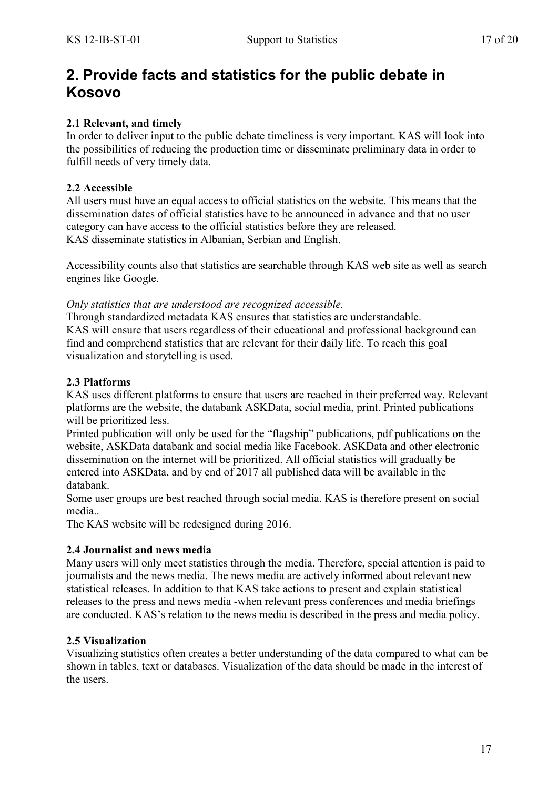## **2. Provide facts and statistics for the public debate in Kosovo**

### **2.1 Relevant, and timely**

In order to deliver input to the public debate timeliness is very important. KAS will look into the possibilities of reducing the production time or disseminate preliminary data in order to fulfill needs of very timely data.

### **2.2 Accessible**

All users must have an equal access to official statistics on the website. This means that the dissemination dates of official statistics have to be announced in advance and that no user category can have access to the official statistics before they are released. KAS disseminate statistics in Albanian, Serbian and English.

Accessibility counts also that statistics are searchable through KAS web site as well as search engines like Google.

### *Only statistics that are understood are recognized accessible.*

Through standardized metadata KAS ensures that statistics are understandable. KAS will ensure that users regardless of their educational and professional background can find and comprehend statistics that are relevant for their daily life. To reach this goal visualization and storytelling is used.

### **2.3 Platforms**

KAS uses different platforms to ensure that users are reached in their preferred way. Relevant platforms are the website, the databank ASKData, social media, print. Printed publications will be prioritized less.

Printed publication will only be used for the "flagship" publications, pdf publications on the website, ASKData databank and social media like Facebook. ASKData and other electronic dissemination on the internet will be prioritized. All official statistics will gradually be entered into ASKData, and by end of 2017 all published data will be available in the databank.

Some user groups are best reached through social media. KAS is therefore present on social media..

The KAS website will be redesigned during 2016.

### **2.4 Journalist and news media**

Many users will only meet statistics through the media. Therefore, special attention is paid to journalists and the news media. The news media are actively informed about relevant new statistical releases. In addition to that KAS take actions to present and explain statistical releases to the press and news media -when relevant press conferences and media briefings are conducted. KAS's relation to the news media is described in the press and media policy.

### **2.5 Visualization**

Visualizing statistics often creates a better understanding of the data compared to what can be shown in tables, text or databases. Visualization of the data should be made in the interest of the users.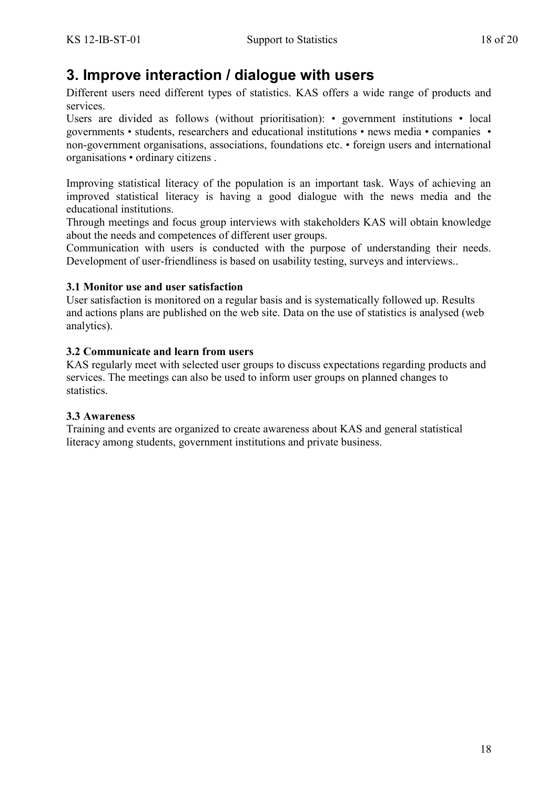# **3. Improve interaction / dialogue with users**

Different users need different types of statistics. KAS offers a wide range of products and services.

Users are divided as follows (without prioritisation): • government institutions • local governments • students, researchers and educational institutions • news media • companies • non-government organisations, associations, foundations etc. • foreign users and international organisations • ordinary citizens .

Improving statistical literacy of the population is an important task. Ways of achieving an improved statistical literacy is having a good dialogue with the news media and the educational institutions.

Through meetings and focus group interviews with stakeholders KAS will obtain knowledge about the needs and competences of different user groups.

Communication with users is conducted with the purpose of understanding their needs. Development of user-friendliness is based on usability testing, surveys and interviews..

### **3.1 Monitor use and user satisfaction**

User satisfaction is monitored on a regular basis and is systematically followed up. Results and actions plans are published on the web site. Data on the use of statistics is analysed (web analytics).

### **3.2 Communicate and learn from users**

KAS regularly meet with selected user groups to discuss expectations regarding products and services. The meetings can also be used to inform user groups on planned changes to statistics.

### **3.3 Awareness**

Training and events are organized to create awareness about KAS and general statistical literacy among students, government institutions and private business.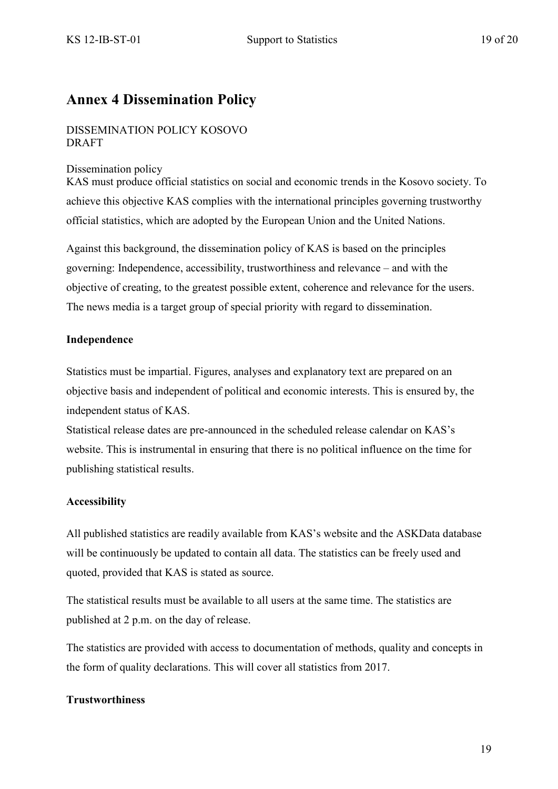## <span id="page-18-0"></span>**Annex 4 Dissemination Policy**

### DISSEMINATION POLICY KOSOVO DRAFT

### Dissemination policy

KAS must produce official statistics on social and economic trends in the Kosovo society. To achieve this objective KAS complies with the international principles governing trustworthy official statistics, which are adopted by the European Union and the United Nations.

Against this background, the dissemination policy of KAS is based on the principles governing: Independence, accessibility, trustworthiness and relevance – and with the objective of creating, to the greatest possible extent, coherence and relevance for the users. The news media is a target group of special priority with regard to dissemination.

### **Independence**

Statistics must be impartial. Figures, analyses and explanatory text are prepared on an objective basis and independent of political and economic interests. This is ensured by, the independent status of KAS.

Statistical release dates are pre-announced in the scheduled release calendar on KAS's website. This is instrumental in ensuring that there is no political influence on the time for publishing statistical results.

### **Accessibility**

All published statistics are readily available from KAS's website and the ASKData database will be continuously be updated to contain all data. The statistics can be freely used and quoted, provided that KAS is stated as source.

The statistical results must be available to all users at the same time. The statistics are published at 2 p.m. on the day of release.

The statistics are provided with access to documentation of methods, quality and concepts in the form of quality declarations. This will cover all statistics from 2017.

### **Trustworthiness**